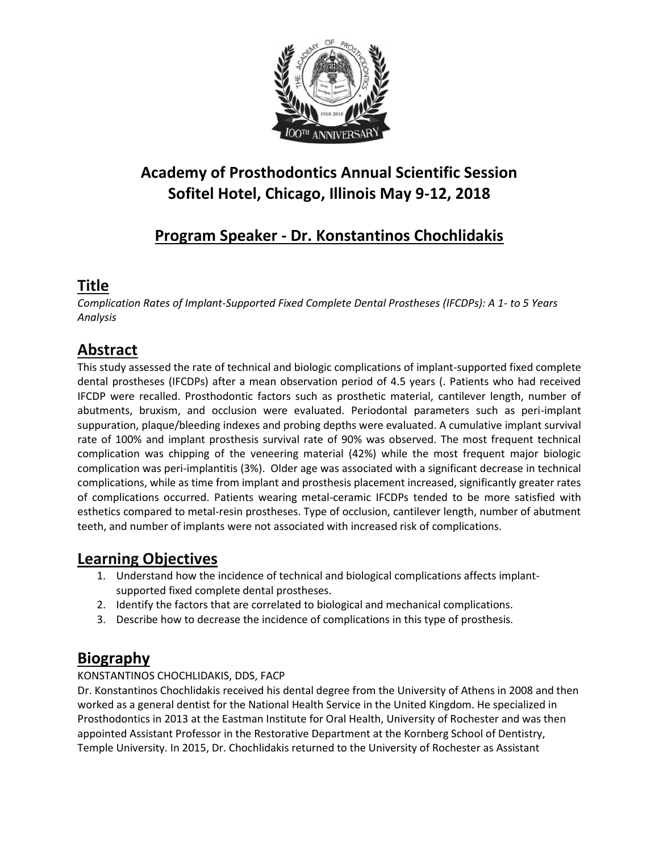

# **Academy of Prosthodontics Annual Scientific Session Sofitel Hotel, Chicago, Illinois May 9-12, 2018**

# **Program Speaker - Dr. Konstantinos Chochlidakis**

### **Title**

*Complication Rates of Implant-Supported Fixed Complete Dental Prostheses (IFCDPs): A 1- to 5 Years Analysis*

## **Abstract**

This study assessed the rate of technical and biologic complications of implant-supported fixed complete dental prostheses (IFCDPs) after a mean observation period of 4.5 years (. Patients who had received IFCDP were recalled. Prosthodontic factors such as prosthetic material, cantilever length, number of abutments, bruxism, and occlusion were evaluated. Periodontal parameters such as peri-implant suppuration, plaque/bleeding indexes and probing depths were evaluated. A cumulative implant survival rate of 100% and implant prosthesis survival rate of 90% was observed. The most frequent technical complication was chipping of the veneering material (42%) while the most frequent major biologic complication was peri-implantitis (3%). Older age was associated with a significant decrease in technical complications, while as time from implant and prosthesis placement increased, significantly greater rates of complications occurred. Patients wearing metal-ceramic IFCDPs tended to be more satisfied with esthetics compared to metal-resin prostheses. Type of occlusion, cantilever length, number of abutment teeth, and number of implants were not associated with increased risk of complications.

### **Learning Objectives**

- 1. Understand how the incidence of technical and biological complications affects implantsupported fixed complete dental prostheses.
- 2. Identify the factors that are correlated to biological and mechanical complications.
- 3. Describe how to decrease the incidence of complications in this type of prosthesis.

## **Biography**

#### KONSTANTINOS CHOCHLIDAKIS, DDS, FACP

Dr. Konstantinos Chochlidakis received his dental degree from the University of Athens in 2008 and then worked as a general dentist for the National Health Service in the United Kingdom. He specialized in Prosthodontics in 2013 at the Eastman Institute for Oral Health, University of Rochester and was then appointed Assistant Professor in the Restorative Department at the Kornberg School of Dentistry, Temple University. In 2015, Dr. Chochlidakis returned to the University of Rochester as Assistant